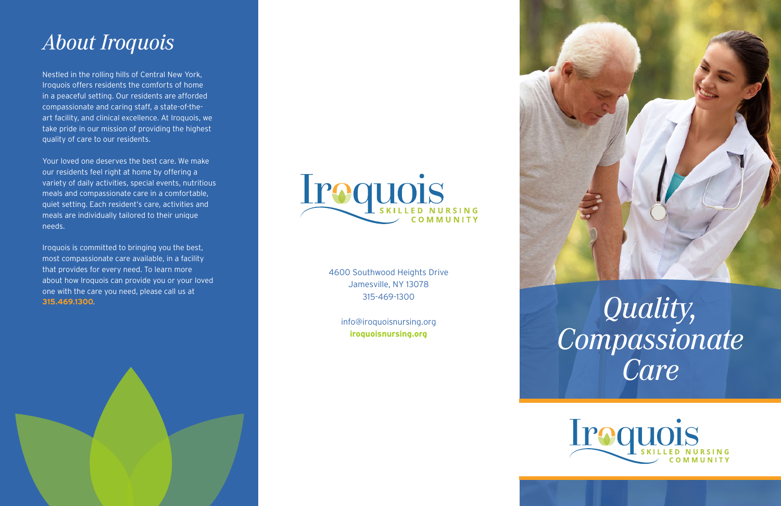Nestled in the rolling hills of Central New York, Iroquois offers residents the comforts of home in a peaceful setting. Our residents are afforded compassionate and caring staff, a state-of-theart facility, and clinical excellence. At Iroquois, we take pride in our mission of providing the highest quality of care to our residents.

Your loved one deserves the best care. We make our residents feel right at home by offering a variety of daily activities, special events, nutritious meals and compassionate care in a comfortable, quiet setting. Each resident's care, activities and meals are individually tailored to their unique needs.

Iroquois is committed to bringing you the best, most compassionate care available, in a facility that provides for every need. To learn more about how Iroquois can provide you or your loved one with the care you need, please call us at **315.469.1300** .



# *Quality, Compassionate Care*



## *About Iroquois*

4600 Southwood Heights Drive Jamesville, NY 13078 315-469-1300

> info@iroquoisnursing.org **iroquoisnursing.org**